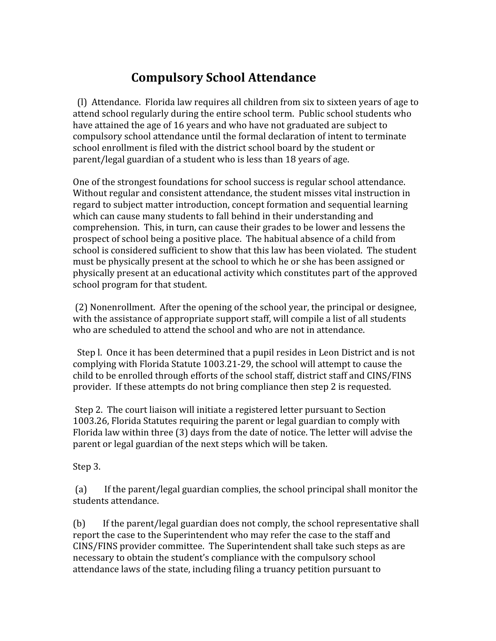## **Compulsory
School
Attendance**

(l)

Attendance.

Florida
law
requires
all
children
from
six
to
sixteen
years
of
age
to attend
school
regularly
during
the
entire
school
term.

Public
school
students
who have attained the age of 16 years and who have not graduated are subject to compulsory
school
attendance
until
the
formal
declaration
of
intent
to
terminate school
enrollment
is
filed
with
the
district
school
board
by
the
student
or parent/legal guardian of a student who is less than 18 years of age.

One
of
the
strongest
foundations
for
school
success
is
regular
school
attendance. Without regular and consistent attendance, the student misses vital instruction in regard
to
subject
matter
introduction,
concept
formation
and
sequential
learning which can cause many students to fall behind in their understanding and comprehension. This, in turn, can cause their grades to be lower and lessens the prospect of school being a positive place. The habitual absence of a child from school is considered sufficient to show that this law has been violated. The student must
be
physically
present
at
the
school
to
which
he
or
she
has
been
assigned
or physically
present
at
an
educational
activity
which
constitutes
part
of
the
approved school
program
for
that
student.

(2)
Nonenrollment.

After
the
opening
of
the
school
year,
the
principal
or
designee, with the assistance of appropriate support staff, will compile a list of all students who are scheduled to attend the school and who are not in attendance.

Step I. Once it has been determined that a pupil resides in Leon District and is not complying
with
Florida
Statute
1003.21‐29,
the
school
will
attempt
to
cause
the child to be enrolled through efforts of the school staff, district staff and CINS/FINS provider. If these attempts do not bring compliance then step 2 is requested.

Step 2. The court liaison will initiate a registered letter pursuant to Section 1003.26,
Florida
Statutes
requiring
the
parent
or
legal
guardian
to
comply
with Florida law within three (3) days from the date of notice. The letter will advise the parent
or
legal
guardian
of
the
next
steps
which
will
be
taken.

Step
3.

(a)

If
the
parent/legal
guardian
complies,
the
school
principal
shall
monitor
the students
attendance.

(b) If the parent/legal guardian does not comply, the school representative shall report the case to the Superintendent who may refer the case to the staff and CINS/FINS provider committee. The Superintendent shall take such steps as are necessary to obtain the student's compliance with the compulsory school attendance
laws
of
the
state,
including
filing
a
truancy
petition
pursuant
to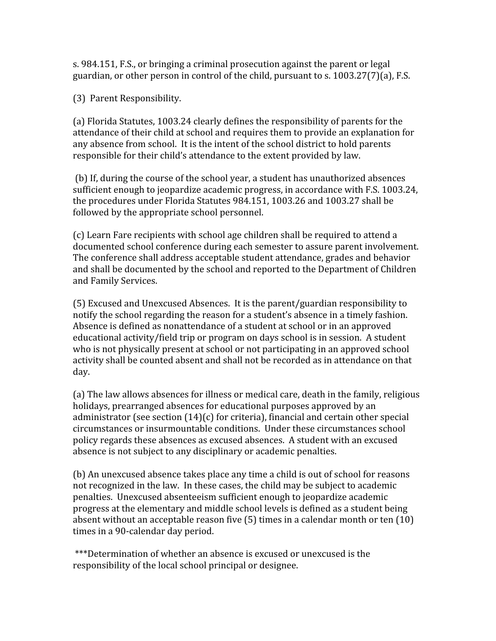s.
984.151,
F.S.,
or
bringing
a
criminal
prosecution
against
the
parent
or
legal guardian,
or
other
person
in
control
of
the
child,
pursuant
to
s.
1003.27(7)(a),
F.S.

(3)

Parent
Responsibility.

(a) Florida Statutes, 1003.24 clearly defines the responsibility of parents for the attendance
of
their
child
at
school
and
requires
them
to
provide
an
explanation
for any
absence
from
school.

It
is
the
intent
of
the
school
district
to
hold
parents responsible for their child's attendance to the extent provided by law.

(b)
If,
during
the
course
of
the
school
year,
a
student
has
unauthorized
absences sufficient enough to jeopardize academic progress, in accordance with F.S. 1003.24, the procedures under Florida Statutes 984.151, 1003.26 and 1003.27 shall be followed
by
the
appropriate
school
personnel.

(c)
Learn
Fare
recipients
with
school
age
children
shall
be
required
to
attend
a documented
school
conference
during
each
semester
to
assure
parent
involvement. The
conference
shall
address
acceptable
student
attendance,
grades
and
behavior and
shall
be
documented
by
the
school
and
reported
to
the
Department
of
Children and
Family
Services.

(5)
Excused
and
Unexcused
Absences.

It
is
the
parent/guardian
responsibility
to notify the school regarding the reason for a student's absence in a timely fashion. Absence
is
defined
as
nonattendance
of
a
student
at
school
or
in
an
approved educational activity/field trip or program on days school is in session. A student who is not physically present at school or not participating in an approved school activity shall be counted absent and shall not be recorded as in attendance on that day.

(a)
The
law
allows
absences
for
illness
or
medical
care,
death
in
the
family,
religious holidays, prearranged absences for educational purposes approved by an administrator (see section (14)(c) for criteria), financial and certain other special circumstances
or
insurmountable
conditions.

Under
these
circumstances
school policy
regards
these
absences
as
excused
absences.

A
student
with
an
excused absence
is
not
subject
to
any
disciplinary
or
academic
penalties.

(b)
An
unexcused
absence
takes
place
any
time
a
child
is
out
of
school
for
reasons not recognized in the law. In these cases, the child may be subject to academic penalties.

Unexcused
absenteeism
sufficient
enough
to
jeopardize
academic progress
at
the
elementary
and
middle
school
levels
is
defined
as
a
student
being absent without an acceptable reason five (5) times in a calendar month or ten (10) times in a 90-calendar day period.

\*\*\*Determination
of
whether
an
absence
is
excused
or
unexcused
is
the responsibility
of
the
local
school
principal
or
designee.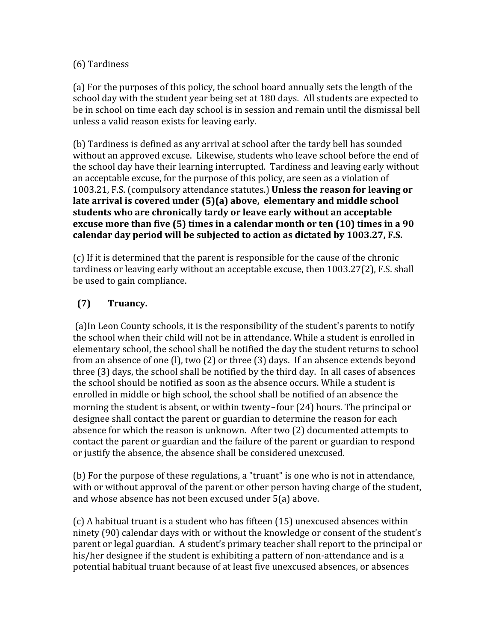## (6)
Tardiness

(a)
For
the
purposes
of
this
policy,
the
school
board
annually
sets
the
length
of
the school day with the student year being set at 180 days. All students are expected to be in school on time each day school is in session and remain until the dismissal bell unless
a
valid
reason
exists
for
leaving
early.

(b)
Tardiness
is
defined
as
any
arrival
at
school
after
the
tardy
bell
has
sounded without an approved excuse. Likewise, students who leave school before the end of the school day have their learning interrupted. Tardiness and leaving early without an
acceptable
excuse,
for
the
purpose
of
this
policy,
are
seen
as
a
violation
of 1003.21,
F.S.
(compulsory
attendance
statutes.) **Unless
the
reason
for
leaving
or**  late arrival is covered under (5)(a) above, elementary and middle school **students
who
are
chronically
tardy
or
leave
early
without
an
acceptable**  excuse more than five (5) times in a calendar month or ten (10) times in a 90 **calendar
day
period
will
be
subjected
to
action
as
dictated
by
1003.27,
F.S.**

(c)
If
it
is
determined
that
the
parent
is
responsible
for
the
cause
of
the
chronic tardiness
or
leaving
early
without
an
acceptable
excuse,
then
1003.27(2),
F.S.
shall be
used
to
gain
compliance.

## **(7)

Truancy.**

(a)In
Leon
County
schools,
it
is
the
responsibility
of
the
student's
parents
to
notify the school when their child will not be in attendance. While a student is enrolled in elementary
school,
the
school
shall
be
notified
the
day
the
student
returns
to
school from an absence of one (1), two (2) or three (3) days. If an absence extends beyond three
(3)
days,
the
school
shall
be
notified
by
the
third
day.

In
all
cases
of
absences the school should be notified as soon as the absence occurs. While a student is enrolled
in
middle
or
high
school,
the
school
shall
be
notified
of
an
absence
the morning the student is absent, or within twenty–four (24) hours. The principal or designee shall contact the parent or guardian to determine the reason for each absence
for
which
the
reason
is
unknown.

After
two
(2)
documented
attempts
to contact the parent or guardian and the failure of the parent or guardian to respond or
justify
the
absence,
the
absence
shall
be
considered
unexcused.

(b) For the purpose of these regulations, a "truant" is one who is not in attendance, with or without approval of the parent or other person having charge of the student, and
whose
absence
has
not
been
excused
under
5(a)
above.

(c)
A
habitual
truant
is
a
student
who
has
fifteen
(15)
unexcused
absences
within ninety
(90)
calendar
days
with
or
without
the
knowledge
or
consent
of
the
student's parent
or
legal
guardian.

A
student's
primary
teacher
shall
report
to
the
principal
or his/her designee if the student is exhibiting a pattern of non-attendance and is a potential
habitual
truant
because
of
at
least
five
unexcused
absences,
or
absences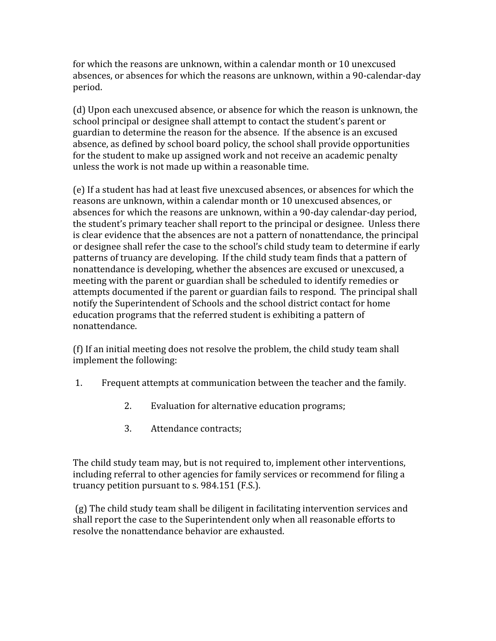for
which
the
reasons
are
unknown,
within
a
calendar
month
or
10
unexcused absences, or absences for which the reasons are unknown, within a 90-calendar-day period.

(d)
Upon
each
unexcused
absence,
or
absence
for
which
the
reason
is
unknown,
the school
principal
or
designee
shall
attempt
to
contact
the
student's
parent
or guardian
to
determine
the
reason
for
the
absence.

If
the
absence
is
an
excused absence,
as
defined
by
school
board
policy,
the
school
shall
provide
opportunities for the student to make up assigned work and not receive an academic penalty unless
the
work
is
not
made
up
within
a
reasonable
time.

(e)
If
a
student
has
had
at
least
five
unexcused
absences,
or
absences
for
which
the reasons
are
unknown,
within
a
calendar
month
or
10
unexcused
absences,
or absences
for
which
the
reasons
are
unknown,
within
a
90‐day
calendar‐day
period, the
student's
primary
teacher
shall
report
to
the
principal
or
designee.

Unless
there is clear evidence that the absences are not a pattern of nonattendance, the principal or designee shall refer the case to the school's child study team to determine if early patterns
of
truancy
are
developing.

If
the
child
study
team
finds
that
a
pattern
of nonattendance
is
developing,
whether
the
absences
are
excused
or
unexcused,
a meeting
with
the
parent
or
guardian
shall
be
scheduled
to
identify
remedies
or attempts documented if the parent or guardian fails to respond. The principal shall notify
the
Superintendent
of
Schools
and
the
school
district
contact
for
home education
programs
that
the
referred
student
is
exhibiting
a
pattern
of nonattendance.

(f)
If
an
initial
meeting
does
not
resolve
the
problem,
the
child
study
team
shall implement
the
following:

- 1.

Frequent
attempts
at
communication
between
the
teacher
and
the
family.
	- 2.

Evaluation
	for
	alternative
	education
	programs;
	- 3.

Attendance
	contracts;

The child study team may, but is not required to, implement other interventions, including referral to other agencies for family services or recommend for filing a truancy
petition
pursuant
to
s.
984.151
(F.S.).

(g)
The
child
study
team
shall
be
diligent
in
facilitating
intervention
services
and shall
report
the
case
to
the
Superintendent
only
when
all
reasonable
efforts
to resolve
the
nonattendance
behavior
are
exhausted.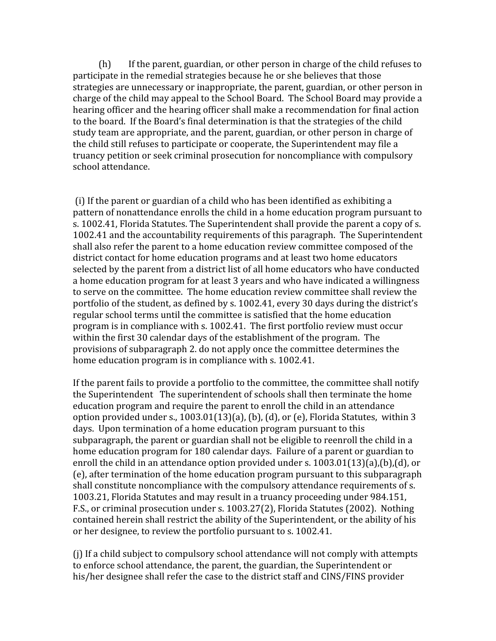(h)

If
the
parent,
guardian,
or
other
person
in
charge
of
the
child
refuses
to participate
in
the
remedial
strategies
because
he
or
she
believes
that
those strategies are unnecessary or inappropriate, the parent, guardian, or other person in charge of the child may appeal to the School Board. The School Board may provide a hearing officer and the hearing officer shall make a recommendation for final action to the board. If the Board's final determination is that the strategies of the child study team are appropriate, and the parent, guardian, or other person in charge of the child still refuses to participate or cooperate, the Superintendent may file a truancy
petition
or
seek
criminal
prosecution
for
noncompliance
with
compulsory school
attendance.

(i)
If
the
parent
or
guardian
of
a
child
who
has
been
identified
as
exhibiting
a pattern
of
nonattendance
enrolls
the
child
in
a
home
education
program
pursuant
to s. 1002.41. Florida Statutes. The Superintendent shall provide the parent a copy of s. 1002.41
and
the
accountability
requirements
of
this
paragraph.

The
Superintendent shall also refer the parent to a home education review committee composed of the district contact for home education programs and at least two home educators selected
by
the
parent
from
a
district
list
of
all
home
educators
who
have
conducted a home education program for at least 3 years and who have indicated a willingness to serve on the committee. The home education review committee shall review the portfolio
of
the
student,
as
defined
by
s.
1002.41,
every
30
days
during
the
district's regular
school
terms
until
the
committee
is
satisfied
that
the
home
education program
is
in
compliance
with
s.
1002.41.

The
first
portfolio
review
must
occur within the first 30 calendar days of the establishment of the program. The provisions
of
subparagraph
2.
do
not
apply
once
the
committee
determines
the home education program is in compliance with s. 1002.41.

If the parent fails to provide a portfolio to the committee, the committee shall notify the Superintendent The superintendent of schools shall then terminate the home education program and require the parent to enroll the child in an attendance option
provided
under
s.,
1003.01(13)(a),
(b),
(d),
or
(e),
Florida
Statutes,

within
3 days. Upon termination of a home education program pursuant to this subparagraph, the parent or guardian shall not be eligible to reenroll the child in a home education program for 180 calendar days. Failure of a parent or guardian to enroll the child in an attendance option provided under s. 1003.01(13)(a),(b),(d), or (e), after termination of the home education program pursuant to this subparagraph shall constitute noncompliance with the compulsory attendance requirements of s. 1003.21,
Florida
Statutes
and
may
result
in
a
truancy
proceeding
under
984.151, F.S.,
or
criminal
prosecution
under
s.
1003.27(2),
Florida
Statutes
(2002).

Nothing contained
herein
shall
restrict
the
ability
of
the
Superintendent,
or
the
ability
of
his or her designee, to review the portfolio pursuant to s. 1002.41.

(j)
If
a
child
subject
to
compulsory
school
attendance
will
not
comply
with
attempts to
enforce
school
attendance,
the
parent,
the
guardian,
the
Superintendent
or his/her designee shall refer the case to the district staff and CINS/FINS provider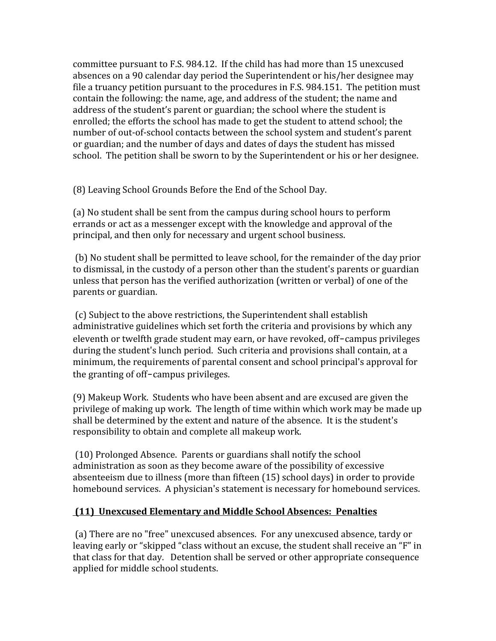committee
pursuant
to
F.S.
984.12.

If
the
child
has
had
more
than
15
unexcused absences
on
a
90
calendar
day
period
the
Superintendent
or
his/her
designee
may file a truancy petition pursuant to the procedures in F.S. 984.151. The petition must contain the following: the name, age, and address of the student; the name and address of the student's parent or guardian; the school where the student is enrolled;
the
efforts
the
school
has
made
to
get
the
student
to
attend
school;
the number of out-of-school contacts between the school system and student's parent or
guardian;
and
the
number
of
days
and
dates
of
days
the
student
has
missed school. The petition shall be sworn to by the Superintendent or his or her designee.

(8)
Leaving
School
Grounds
Before
the
End
of
the
School
Day.

(a)
No
student
shall
be
sent
from
the
campus
during
school
hours
to
perform errands
or
act
as
a
messenger
except
with
the
knowledge
and
approval
of
the principal,
and
then
only
for
necessary
and
urgent
school
business.

(b)
No
student
shall
be
permitted
to
leave
school,
for
the
remainder
of
the
day
prior to
dismissal,
in
the
custody
of
a
person
other
than
the
student's
parents
or
guardian unless that person has the verified authorization (written or verbal) of one of the parents
or
guardian.

(c)
Subject
to
the
above
restrictions,
the
Superintendent
shall
establish administrative guidelines which set forth the criteria and provisions by which any eleventh or twelfth grade student may earn, or have revoked, off-campus privileges during the student's lunch period. Such criteria and provisions shall contain, at a minimum,
the
requirements
of
parental
consent
and
school
principal's
approval
for the granting of off-campus privileges.

(9)
Makeup
Work.

Students
who
have
been
absent
and
are
excused
are
given
the privilege
of
making
up
work.

The
length
of
time
within
which
work
may
be
made
up shall
be
determined
by
the
extent
and
nature
of
the
absence.

It
is
the
student's responsibility to obtain and complete all makeup work.

(10)
Prolonged
Absence.

Parents
or
guardians
shall
notify
the
school administration
as
soon
as
they
become
aware
of
the
possibility
of
excessive absenteeism
due
to
illness
(more
than
fifteen
(15)
school
days)
in
order
to
provide homebound services. A physician's statement is necessary for homebound services.

## **(11)

Unexcused
Elementary
and
Middle
School
Absences:

Penalties**

(a)
There
are
no
"free"
unexcused
absences.

For
any
unexcused
absence,
tardy
or leaving early or "skipped "class without an excuse, the student shall receive an "F" in that
class
for
that
day.

Detention
shall
be
served
or
other
appropriate
consequence applied
for
middle
school
students.